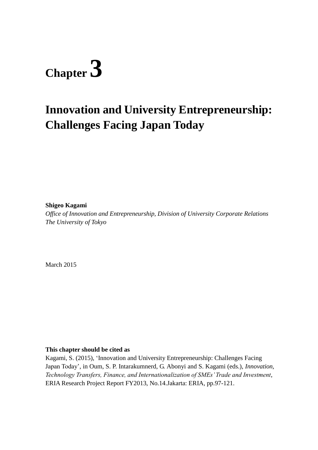# **Chapter 3**

# **Innovation and University Entrepreneurship: Challenges Facing Japan Today**

**Shigeo Kagami**

*Office of Innovation and Entrepreneurship, Division of University Corporate Relations The University of Tokyo*

March 2015

#### **This chapter should be cited as**

Kagami, S. (2015), 'Innovation and University Entrepreneurship: Challenges Facing Japan Today', in Oum, S. P. Intarakumnerd, G. Abonyi and S. Kagami (eds.), *Innovation, Technology Transfers, Finance, and Internationalization of SMEs' Trade and Investment*, ERIA Research Project Report FY2013, No.14.Jakarta: ERIA, pp.97-121.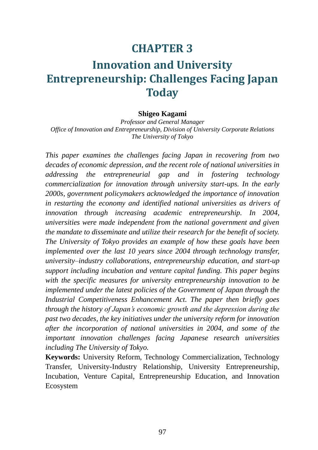# **CHAPTER 3**

# **Innovation and University Entrepreneurship: Challenges Facing Japan Today**

#### **Shigeo Kagami**

*Professor and General Manager Office of Innovation and Entrepreneurship, Division of University Corporate Relations The University of Tokyo*

*This paper examines the challenges facing Japan in recovering from two decades of economic depression, and the recent role of national universities in addressing the entrepreneurial gap and in fostering technology commercialization for innovation through university start-ups. In the early 2000s, government policymakers acknowledged the importance of innovation in restarting the economy and identified national universities as drivers of innovation through increasing academic entrepreneurship. In 2004, universities were made independent from the national government and given the mandate to disseminate and utilize their research for the benefit of society. The University of Tokyo provides an example of how these goals have been implemented over the last 10 years since 2004 through technology transfer, university–industry collaborations, entrepreneurship education, and start-up support including incubation and venture capital funding. This paper begins with the specific measures for university entrepreneurship innovation to be implemented under the latest policies of the Government of Japan through the Industrial Competitiveness Enhancement Act. The paper then briefly goes through the history of Japan's economic growth and the depression during the past two decades, the key initiatives under the university reform for innovation after the incorporation of national universities in 2004, and some of the important innovation challenges facing Japanese research universities including The University of Tokyo.*

**Keywords:** University Reform, Technology Commercialization, Technology Transfer, University-Industry Relationship, University Entrepreneurship, Incubation, Venture Capital, Entrepreneurship Education, and Innovation Ecosystem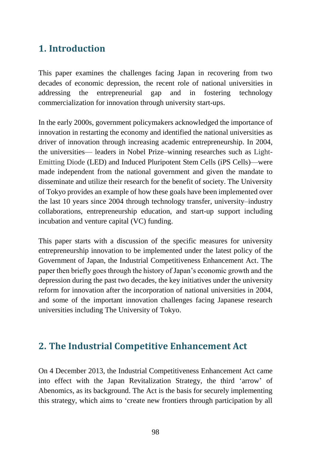# **1. Introduction**

This paper examines the challenges facing Japan in recovering from two decades of economic depression, the recent role of national universities in addressing the entrepreneurial gap and in fostering technology commercialization for innovation through university start-ups.

In the early 2000s, government policymakers acknowledged the importance of innovation in restarting the economy and identified the national universities as driver of innovation through increasing academic entrepreneurship. In 2004, the universities— leaders in Nobel Prize–winning researches such as Light-Emitting Diode (LED) and Induced Pluripotent Stem Cells (iPS Cells)—were made independent from the national government and given the mandate to disseminate and utilize their research for the benefit of society. The University of Tokyo provides an example of how these goals have been implemented over the last 10 years since 2004 through technology transfer, university–industry collaborations, entrepreneurship education, and start-up support including incubation and venture capital (VC) funding.

This paper starts with a discussion of the specific measures for university entrepreneurship innovation to be implemented under the latest policy of the Government of Japan, the Industrial Competitiveness Enhancement Act. The paper then briefly goes through the history of Japan's economic growth and the depression during the past two decades, the key initiatives under the university reform for innovation after the incorporation of national universities in 2004, and some of the important innovation challenges facing Japanese research universities including The University of Tokyo.

### **2. The Industrial Competitive Enhancement Act**

On 4 December 2013, the Industrial Competitiveness Enhancement Act came into effect with the Japan Revitalization Strategy, the third 'arrow' of Abenomics, as its background. The Act is the basis for securely implementing this strategy, which aims to 'create new frontiers through participation by all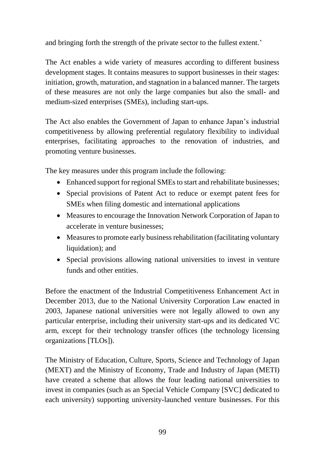and bringing forth the strength of the private sector to the fullest extent.'

The Act enables a wide variety of measures according to different business development stages. It contains measures to support businesses in their stages: initiation, growth, maturation, and stagnation in a balanced manner. The targets of these measures are not only the large companies but also the small- and medium-sized enterprises (SMEs), including start-ups.

The Act also enables the Government of Japan to enhance Japan's industrial competitiveness by allowing preferential regulatory flexibility to individual enterprises, facilitating approaches to the renovation of industries, and promoting venture businesses.

The key measures under this program include the following:

- Enhanced support for regional SMEs to start and rehabilitate businesses;
- Special provisions of Patent Act to reduce or exempt patent fees for SMEs when filing domestic and international applications
- Measures to encourage the Innovation Network Corporation of Japan to accelerate in venture businesses;
- Measures to promote early business rehabilitation (facilitating voluntary liquidation); and
- Special provisions allowing national universities to invest in venture funds and other entities.

Before the enactment of the Industrial Competitiveness Enhancement Act in December 2013, due to the National University Corporation Law enacted in 2003, Japanese national universities were not legally allowed to own any particular enterprise, including their university start-ups and its dedicated VC arm, except for their technology transfer offices (the technology licensing organizations [TLOs]).

The Ministry of Education, Culture, Sports, Science and Technology of Japan (MEXT) and the Ministry of Economy, Trade and Industry of Japan (METI) have created a scheme that allows the four leading national universities to invest in companies (such as an Special Vehicle Company [SVC] dedicated to each university) supporting university-launched venture businesses. For this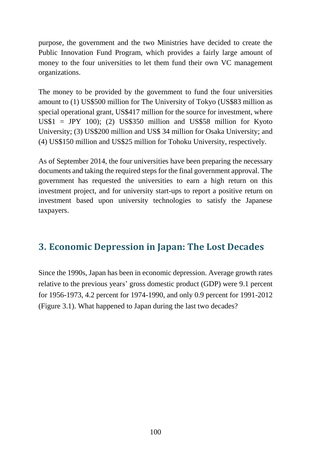purpose, the government and the two Ministries have decided to create the Public Innovation Fund Program, which provides a fairly large amount of money to the four universities to let them fund their own VC management organizations.

The money to be provided by the government to fund the four universities amount to (1) US\$500 million for The University of Tokyo (US\$83 million as special operational grant, US\$417 million for the source for investment, where US\$1 = JPY 100); (2) US\$350 million and US\$58 million for Kyoto University; (3) US\$200 million and US\$ 34 million for Osaka University; and (4) US\$150 million and US\$25 million for Tohoku University, respectively.

As of September 2014, the four universities have been preparing the necessary documents and taking the required steps for the final government approval. The government has requested the universities to earn a high return on this investment project, and for university start-ups to report a positive return on investment based upon university technologies to satisfy the Japanese taxpayers.

# **3. Economic Depression in Japan: The Lost Decades**

Since the 1990s, Japan has been in economic depression. Average growth rates relative to the previous years' gross domestic product (GDP) were 9.1 percent for 1956-1973, 4.2 percent for 1974-1990, and only 0.9 percent for 1991-2012 (Figure 3.1). What happened to Japan during the last two decades?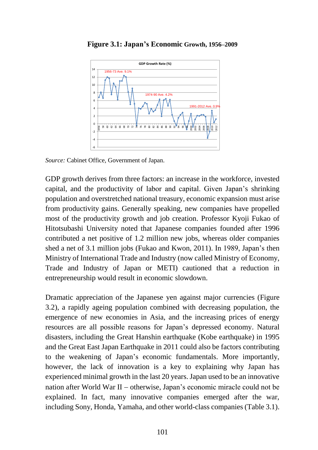

**Figure 3.1: Japan's Economic Growth, 1956–2009**

*Source:* Cabinet Office, Government of Japan.

GDP growth derives from three factors: an increase in the workforce, invested capital, and the productivity of labor and capital. Given Japan's shrinking population and overstretched national treasury, economic expansion must arise from productivity gains. Generally speaking, new companies have propelled most of the productivity growth and job creation. Professor Kyoji Fukao of Hitotsubashi University noted that Japanese companies founded after 1996 contributed a net positive of 1.2 million new jobs, whereas older companies shed a net of 3.1 million jobs (Fukao and Kwon, 2011). In 1989, Japan's then Ministry of International Trade and Industry (now called Ministry of Economy, Trade and Industry of Japan or METI) cautioned that a reduction in entrepreneurship would result in economic slowdown.

Dramatic appreciation of the Japanese yen against major currencies (Figure 3.2), a rapidly ageing population combined with decreasing population, the emergence of new economies in Asia, and the increasing prices of energy resources are all possible reasons for Japan's depressed economy. Natural disasters, including the Great Hanshin earthquake (Kobe earthquake) in 1995 and the Great East Japan Earthquake in 2011 could also be factors contributing to the weakening of Japan's economic fundamentals. More importantly, however, the lack of innovation is a key to explaining why Japan has experienced minimal growth in the last 20 years. Japan used to be an innovative nation after World War II – otherwise, Japan's economic miracle could not be explained. In fact, many innovative companies emerged after the war, including Sony, Honda, Yamaha, and other world-class companies (Table 3.1).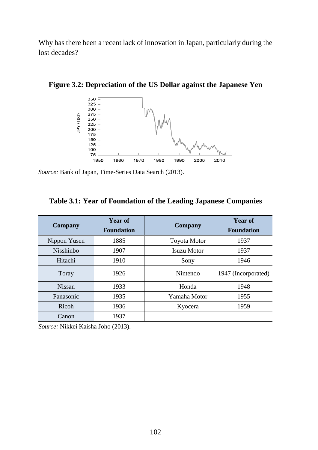Why has there been a recent lack of innovation in Japan, particularly during the lost decades?



**Figure 3.2: Depreciation of the US Dollar against the Japanese Yen**

*Source:* Bank of Japan, Time-Series Data Search (2013).

|  | Table 3.1: Year of Foundation of the Leading Japanese Companies |  |  |
|--|-----------------------------------------------------------------|--|--|
|  |                                                                 |  |  |

| <b>Company</b>   | <b>Year of</b><br><b>Foundation</b> | <b>Company</b>      | <b>Year of</b><br><b>Foundation</b> |  |
|------------------|-------------------------------------|---------------------|-------------------------------------|--|
| Nippon Yusen     | 1885                                | <b>Toyota Motor</b> | 1937                                |  |
| <b>Nisshinbo</b> | 1907                                | <b>Isuzu Motor</b>  | 1937                                |  |
| Hitachi          | 1910                                | Sony                | 1946                                |  |
| Toray            | 1926                                | Nintendo            | 1947 (Incorporated)                 |  |
| <b>Nissan</b>    | 1933                                | Honda               | 1948                                |  |
| Panasonic        | 1935                                | Yamaha Motor        | 1955                                |  |
| Ricoh            | 1936                                | Kyocera             | 1959                                |  |
| Canon            | 1937                                |                     |                                     |  |

*Source:* Nikkei Kaisha Joho (2013).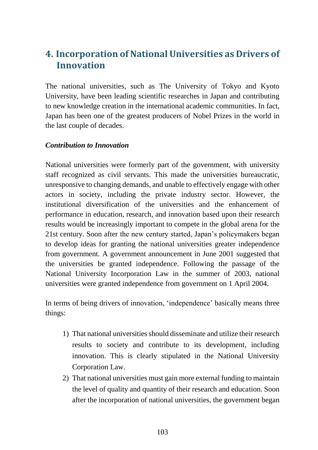# **4. Incorporation of National Universities as Drivers of Innovation**

The national universities, such as The University of Tokyo and Kyoto University, have been leading scientific researches in Japan and contributing to new knowledge creation in the international academic communities. In fact, Japan has been one of the greatest producers of Nobel Prizes in the world in the last couple of decades.

#### *Contribution to Innovation*

National universities were formerly part of the government, with university staff recognized as civil servants. This made the universities bureaucratic, unresponsive to changing demands, and unable to effectively engage with other actors in society, including the private industry sector. However, the institutional diversification of the universities and the enhancement of performance in education, research, and innovation based upon their research results would be increasingly important to compete in the global arena for the 21st century. Soon after the new century started, Japan's policymakers began to develop ideas for granting the national universities greater independence from government. A government announcement in June 2001 suggested that the universities be granted independence. Following the passage of the National University Incorporation Law in the summer of 2003, national universities were granted independence from government on 1 April 2004.

In terms of being drivers of innovation, 'independence' basically means three things:

- 1) That national universities should disseminate and utilize their research results to society and contribute to its development, including innovation. This is clearly stipulated in the National University Corporation Law.
- 2) That national universities must gain more external funding to maintain the level of quality and quantity of their research and education. Soon after the incorporation of national universities, the government began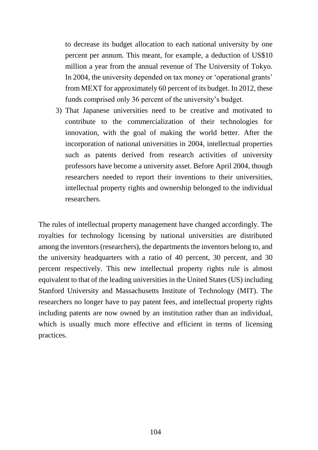to decrease its budget allocation to each national university by one percent per annum. This meant, for example, a deduction of US\$10 million a year from the annual revenue of The University of Tokyo. In 2004, the university depended on tax money or 'operational grants' from MEXT for approximately 60 percent of its budget. In 2012, these funds comprised only 36 percent of the university's budget.

3) That Japanese universities need to be creative and motivated to contribute to the commercialization of their technologies for innovation, with the goal of making the world better. After the incorporation of national universities in 2004, intellectual properties such as patents derived from research activities of university professors have become a university asset. Before April 2004, though researchers needed to report their inventions to their universities, intellectual property rights and ownership belonged to the individual researchers.

The rules of intellectual property management have changed accordingly. The royalties for technology licensing by national universities are distributed among the inventors (researchers), the departments the inventors belong to, and the university headquarters with a ratio of 40 percent, 30 percent, and 30 percent respectively. This new intellectual property rights rule is almost equivalent to that of the leading universities in the United States (US) including Stanford University and Massachusetts Institute of Technology (MIT). The researchers no longer have to pay patent fees, and intellectual property rights including patents are now owned by an institution rather than an individual, which is usually much more effective and efficient in terms of licensing practices.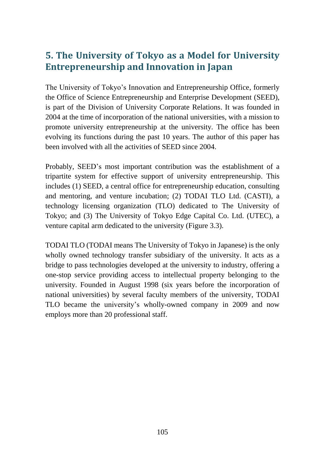# **5. The University of Tokyo as a Model for University Entrepreneurship and Innovation in Japan**

The University of Tokyo's Innovation and Entrepreneurship Office, formerly the Office of Science Entrepreneurship and Enterprise Development (SEED), is part of the Division of University Corporate Relations. It was founded in 2004 at the time of incorporation of the national universities, with a mission to promote university entrepreneurship at the university. The office has been evolving its functions during the past 10 years. The author of this paper has been involved with all the activities of SEED since 2004.

Probably, SEED's most important contribution was the establishment of a tripartite system for effective support of university entrepreneurship. This includes (1) SEED, a central office for entrepreneurship education, consulting and mentoring, and venture incubation; (2) TODAI TLO Ltd. (CASTI), a technology licensing organization (TLO) dedicated to The University of Tokyo; and (3) The University of Tokyo Edge Capital Co. Ltd. (UTEC), a venture capital arm dedicated to the university (Figure 3.3).

TODAI TLO (TODAI means The University of Tokyo in Japanese) is the only wholly owned technology transfer subsidiary of the university. It acts as a bridge to pass technologies developed at the university to industry, offering a one-stop service providing access to intellectual property belonging to the university. Founded in August 1998 (six years before the incorporation of national universities) by several faculty members of the university, TODAI TLO became the university's wholly-owned company in 2009 and now employs more than 20 professional staff.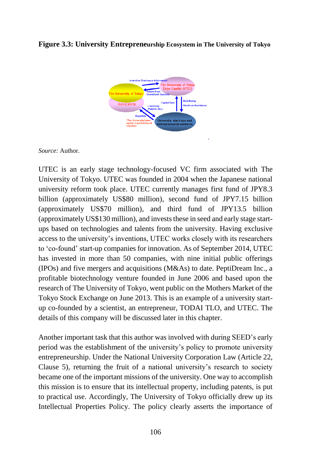#### **Figure 3.3: University Entrepreneurship Ecosystem in The University of Tokyo**



*Source:* Author.

UTEC is an early stage technology-focused VC firm associated with The University of Tokyo. UTEC was founded in 2004 when the Japanese national university reform took place. UTEC currently manages first fund of JPY8.3 billion (approximately US\$80 million), second fund of JPY7.15 billion (approximately US\$70 million), and third fund of JPY13.5 billion (approximately US\$130 million), and invests these in seed and early stage startups based on technologies and talents from the university. Having exclusive access to the university's inventions, UTEC works closely with its researchers to 'co-found' start-up companies for innovation. As of September 2014, UTEC has invested in more than 50 companies, with nine initial public offerings (IPOs) and five mergers and acquisitions (M&As) to date. PeptiDream Inc., a profitable biotechnology venture founded in June 2006 and based upon the research of The University of Tokyo, went public on the Mothers Market of the Tokyo Stock Exchange on June 2013. This is an example of a university startup co-founded by a scientist, an entrepreneur, TODAI TLO, and UTEC. The details of this company will be discussed later in this chapter.

Another important task that this author was involved with during SEED's early period was the establishment of the university's policy to promote university entrepreneurship. Under the National University Corporation Law (Article 22, Clause 5), returning the fruit of a national university's research to society became one of the important missions of the university. One way to accomplish this mission is to ensure that its intellectual property, including patents, is put to practical use. Accordingly, The University of Tokyo officially drew up its Intellectual Properties Policy. The policy clearly asserts the importance of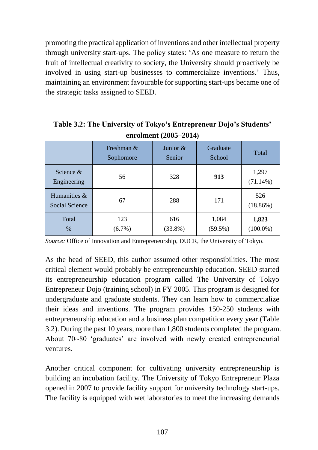promoting the practical application of inventions and other intellectual property through university start-ups. The policy states: 'As one measure to return the fruit of intellectual creativity to society, the University should proactively be involved in using start-up businesses to commercialize inventions.' Thus, maintaining an environment favourable for supporting start-ups became one of the strategic tasks assigned to SEED.

|                                       | Freshman &<br>Sophomore | Junior $&$<br>Senior | Graduate<br>School  | Total                |
|---------------------------------------|-------------------------|----------------------|---------------------|----------------------|
| Science $\&$<br>Engineering           | 56                      | 328                  | 913                 | 1,297<br>$(71.14\%)$ |
| Humanities &<br><b>Social Science</b> | 67                      | 288                  | 171                 | 526<br>$(18.86\%)$   |
| Total<br>$\%$                         | 123<br>$(6.7\%)$        | 616<br>$(33.8\%)$    | 1,084<br>$(59.5\%)$ | 1,823<br>$(100.0\%)$ |

**Table 3.2: The University of Tokyo's Entrepreneur Dojo's Students' enrolment (2005–2014)**

*Source:* Office of Innovation and Entrepreneurship, DUCR, the University of Tokyo.

As the head of SEED, this author assumed other responsibilities. The most critical element would probably be entrepreneurship education. SEED started its entrepreneurship education program called The University of Tokyo Entrepreneur Dojo (training school) in FY 2005. This program is designed for undergraduate and graduate students. They can learn how to commercialize their ideas and inventions. The program provides 150-250 students with entrepreneurship education and a business plan competition every year (Table 3.2). During the past 10 years, more than 1,800 students completed the program. About 70~80 'graduates' are involved with newly created entrepreneurial ventures.

Another critical component for cultivating university entrepreneurship is building an incubation facility. The University of Tokyo Entrepreneur Plaza opened in 2007 to provide facility support for university technology start-ups. The facility is equipped with wet laboratories to meet the increasing demands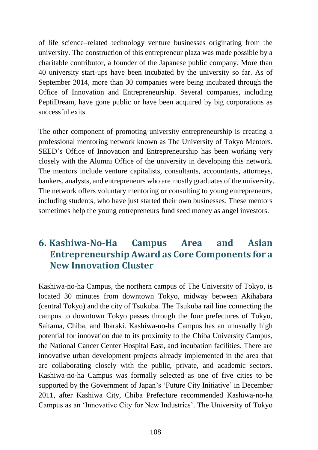of life science–related technology venture businesses originating from the university. The construction of this entrepreneur plaza was made possible by a charitable contributor, a founder of the Japanese public company. More than 40 university start-ups have been incubated by the university so far. As of September 2014, more than 30 companies were being incubated through the Office of Innovation and Entrepreneurship. Several companies, including PeptiDream, have gone public or have been acquired by big corporations as successful exits.

The other component of promoting university entrepreneurship is creating a professional mentoring network known as The University of Tokyo Mentors. SEED's Office of Innovation and Entrepreneurship has been working very closely with the Alumni Office of the university in developing this network. The mentors include venture capitalists, consultants, accountants, attorneys, bankers, analysts, and entrepreneurs who are mostly graduates of the university. The network offers voluntary mentoring or consulting to young entrepreneurs, including students, who have just started their own businesses. These mentors sometimes help the young entrepreneurs fund seed money as angel investors.

# **6. Kashiwa-No-Ha Campus Area and Asian Entrepreneurship Award as Core Components for a New Innovation Cluster**

Kashiwa-no-ha Campus, the northern campus of The University of Tokyo, is located 30 minutes from downtown Tokyo, midway between Akihabara (central Tokyo) and the city of Tsukuba. The Tsukuba rail line connecting the campus to downtown Tokyo passes through the four prefectures of Tokyo, Saitama, Chiba, and Ibaraki. Kashiwa-no-ha Campus has an unusually high potential for innovation due to its proximity to the Chiba University Campus, the National Cancer Center Hospital East, and incubation facilities. There are innovative urban development projects already implemented in the area that are collaborating closely with the public, private, and academic sectors. Kashiwa-no-ha Campus was formally selected as one of five cities to be supported by the Government of Japan's 'Future City Initiative' in December 2011, after Kashiwa City, Chiba Prefecture recommended Kashiwa-no-ha Campus as an 'Innovative City for New Industries'. The University of Tokyo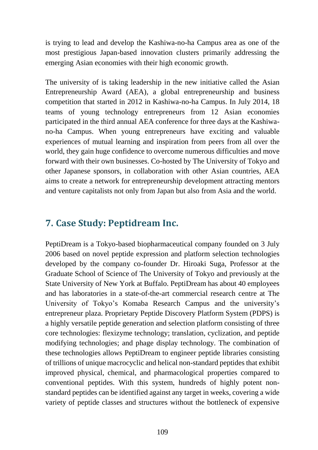is trying to lead and develop the Kashiwa-no-ha Campus area as one of the most prestigious Japan-based innovation clusters primarily addressing the emerging Asian economies with their high economic growth.

The university of is taking leadership in the new initiative called the Asian Entrepreneurship Award (AEA), a global entrepreneurship and business competition that started in 2012 in Kashiwa-no-ha Campus. In July 2014, 18 teams of young technology entrepreneurs from 12 Asian economies participated in the third annual AEA conference for three days at the Kashiwano-ha Campus. When young entrepreneurs have exciting and valuable experiences of mutual learning and inspiration from peers from all over the world, they gain huge confidence to overcome numerous difficulties and move forward with their own businesses. Co-hosted by The University of Tokyo and other Japanese sponsors, in collaboration with other Asian countries, AEA aims to create a network for entrepreneurship development attracting mentors and venture capitalists not only from Japan but also from Asia and the world.

## **7. Case Study: Peptidream Inc.**

PeptiDream is a Tokyo-based biopharmaceutical company founded on 3 July 2006 based on novel peptide expression and platform selection technologies developed by the company co-founder Dr. Hiroaki Suga, Professor at the Graduate School of Science of The University of Tokyo and previously at the State University of New York at Buffalo. PeptiDream has about 40 employees and has laboratories in a state-of-the-art commercial research centre at The University of Tokyo's Komaba Research Campus and the university's entrepreneur plaza. Proprietary Peptide Discovery Platform System (PDPS) is a highly versatile peptide generation and selection platform consisting of three core technologies: flexizyme technology; translation, cyclization, and peptide modifying technologies; and phage display technology. The combination of these technologies allows PeptiDream to engineer peptide libraries consisting of trillions of unique macrocyclic and helical non-standard peptides that exhibit improved physical, chemical, and pharmacological properties compared to conventional peptides. With this system, hundreds of highly potent nonstandard peptides can be identified against any target in weeks, covering a wide variety of peptide classes and structures without the bottleneck of expensive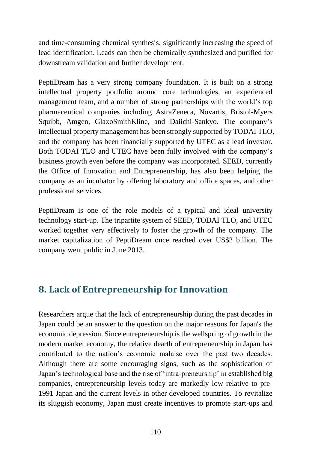and time-consuming chemical synthesis, significantly increasing the speed of lead identification. Leads can then be chemically synthesized and purified for downstream validation and further development.

PeptiDream has a very strong company foundation. It is built on a strong intellectual property portfolio around core technologies, an experienced management team, and a number of strong partnerships with the world's top pharmaceutical companies including AstraZeneca, Novartis, Bristol-Myers Squibb, Amgen, GlaxoSmithKline, and Daiichi-Sankyo. The company's intellectual property management has been strongly supported by TODAI TLO, and the company has been financially supported by UTEC as a lead investor. Both TODAI TLO and UTEC have been fully involved with the company's business growth even before the company was incorporated. SEED, currently the Office of Innovation and Entrepreneurship, has also been helping the company as an incubator by offering laboratory and office spaces, and other professional services.

PeptiDream is one of the role models of a typical and ideal university technology start-up. The tripartite system of SEED, TODAI TLO, and UTEC worked together very effectively to foster the growth of the company. The market capitalization of PeptiDream once reached over US\$2 billion. The company went public in June 2013.

# **8. Lack of Entrepreneurship for Innovation**

Researchers argue that the lack of entrepreneurship during the past decades in Japan could be an answer to the question on the major reasons for Japan's the economic depression. Since entrepreneurship is the wellspring of growth in the modern market economy, the relative dearth of entrepreneurship in Japan has contributed to the nation's economic malaise over the past two decades. Although there are some encouraging signs, such as the sophistication of Japan's technological base and the rise of 'intra-preneurship' in established big companies, entrepreneurship levels today are markedly low relative to pre-1991 Japan and the current levels in other developed countries. To revitalize its sluggish economy, Japan must create incentives to promote start-ups and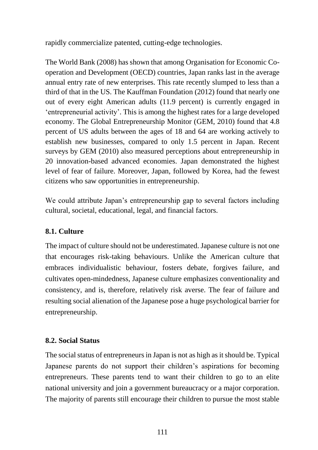rapidly commercialize patented, cutting-edge technologies.

The World Bank (2008) has shown that among Organisation for Economic Cooperation and Development (OECD) countries, Japan ranks last in the average annual entry rate of new enterprises. This rate recently slumped to less than a third of that in the US. The Kauffman Foundation (2012) found that nearly one out of every eight American adults (11.9 percent) is currently engaged in 'entrepreneurial activity'. This is among the highest rates for a large developed economy. The Global Entrepreneurship Monitor (GEM, 2010) found that 4.8 percent of US adults between the ages of 18 and 64 are working actively to establish new businesses, compared to only 1.5 percent in Japan. Recent surveys by GEM (2010) also measured perceptions about entrepreneurship in 20 innovation-based advanced economies. Japan demonstrated the highest level of fear of failure. Moreover, Japan, followed by Korea, had the fewest citizens who saw opportunities in entrepreneurship.

We could attribute Japan's entrepreneurship gap to several factors including cultural, societal, educational, legal, and financial factors.

#### **8.1. Culture**

The impact of culture should not be underestimated. Japanese culture is not one that encourages risk-taking behaviours. Unlike the American culture that embraces individualistic behaviour, fosters debate, forgives failure, and cultivates open-mindedness, Japanese culture emphasizes conventionality and consistency, and is, therefore, relatively risk averse. The fear of failure and resulting social alienation of the Japanese pose a huge psychological barrier for entrepreneurship.

#### **8.2. Social Status**

The social status of entrepreneurs in Japan is not as high as it should be. Typical Japanese parents do not support their children's aspirations for becoming entrepreneurs. These parents tend to want their children to go to an elite national university and join a government bureaucracy or a major corporation. The majority of parents still encourage their children to pursue the most stable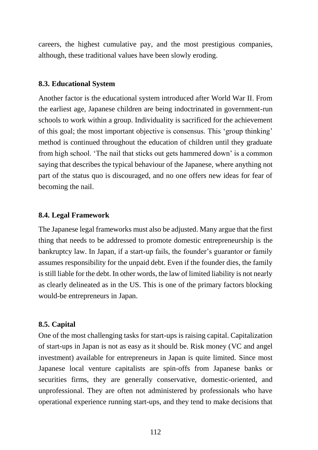careers, the highest cumulative pay, and the most prestigious companies, although, these traditional values have been slowly eroding.

#### **8.3. Educational System**

Another factor is the educational system introduced after World War II. From the earliest age, Japanese children are being indoctrinated in government-run schools to work within a group. Individuality is sacrificed for the achievement of this goal; the most important objective is consensus. This 'group thinking' method is continued throughout the education of children until they graduate from high school. 'The nail that sticks out gets hammered down' is a common saying that describes the typical behaviour of the Japanese, where anything not part of the status quo is discouraged, and no one offers new ideas for fear of becoming the nail.

#### **8.4. Legal Framework**

The Japanese legal frameworks must also be adjusted. Many argue that the first thing that needs to be addressed to promote domestic entrepreneurship is the bankruptcy law. In Japan, if a start-up fails, the founder's guarantor or family assumes responsibility for the unpaid debt. Even if the founder dies, the family is still liable for the debt. In other words, the law of limited liability is not nearly as clearly delineated as in the US. This is one of the primary factors blocking would-be entrepreneurs in Japan.

#### **8.5. Capital**

One of the most challenging tasks for start-ups is raising capital. Capitalization of start-ups in Japan is not as easy as it should be. Risk money (VC and angel investment) available for entrepreneurs in Japan is quite limited. Since most Japanese local venture capitalists are spin-offs from Japanese banks or securities firms, they are generally conservative, domestic-oriented, and unprofessional. They are often not administered by professionals who have operational experience running start-ups, and they tend to make decisions that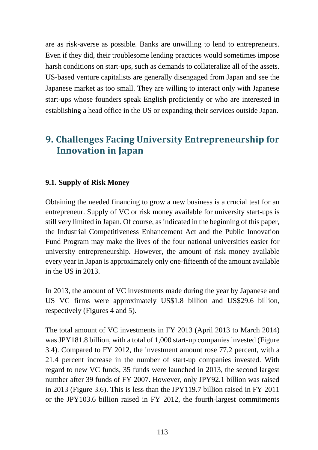are as risk-averse as possible. Banks are unwilling to lend to entrepreneurs. Even if they did, their troublesome lending practices would sometimes impose harsh conditions on start-ups, such as demands to collateralize all of the assets. US-based venture capitalists are generally disengaged from Japan and see the Japanese market as too small. They are willing to interact only with Japanese start-ups whose founders speak English proficiently or who are interested in establishing a head office in the US or expanding their services outside Japan.

# **9. Challenges Facing University Entrepreneurship for Innovation in Japan**

#### **9.1. Supply of Risk Money**

Obtaining the needed financing to grow a new business is a crucial test for an entrepreneur. Supply of VC or risk money available for university start-ups is still very limited in Japan. Of course, as indicated in the beginning of this paper, the Industrial Competitiveness Enhancement Act and the Public Innovation Fund Program may make the lives of the four national universities easier for university entrepreneurship. However, the amount of risk money available every year in Japan is approximately only one-fifteenth of the amount available in the US in 2013.

In 2013, the amount of VC investments made during the year by Japanese and US VC firms were approximately US\$1.8 billion and US\$29.6 billion, respectively (Figures 4 and 5).

The total amount of VC investments in FY 2013 (April 2013 to March 2014) was JPY181.8 billion, with a total of 1,000 start-up companies invested (Figure 3.4). Compared to FY 2012, the investment amount rose 77.2 percent, with a 21.4 percent increase in the number of start-up companies invested. With regard to new VC funds, 35 funds were launched in 2013, the second largest number after 39 funds of FY 2007. However, only JPY92.1 billion was raised in 2013 (Figure 3.6). This is less than the JPY119.7 billion raised in FY 2011 or the JPY103.6 billion raised in FY 2012, the fourth-largest commitments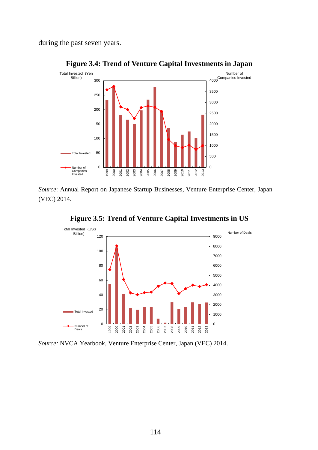during the past seven years.



#### **Figure 3.4: Trend of Venture Capital Investments in Japan**

*Source*: Annual Report on Japanese Startup Businesses, Venture Enterprise Center, Japan (VEC) 2014.



**Figure 3.5: Trend of Venture Capital Investments in US**

*Source:* NVCA Yearbook, Venture Enterprise Center, Japan (VEC) 2014.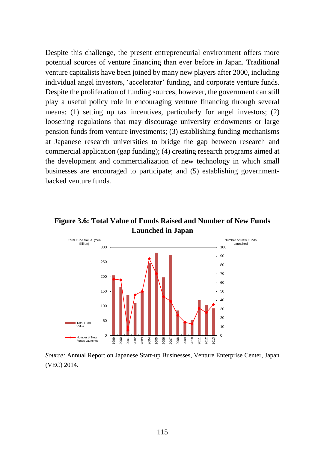Despite this challenge, the present entrepreneurial environment offers more potential sources of venture financing than ever before in Japan. Traditional venture capitalists have been joined by many new players after 2000, including individual angel investors, 'accelerator' funding, and corporate venture funds. Despite the proliferation of funding sources, however, the government can still play a useful policy role in encouraging venture financing through several means: (1) setting up tax incentives, particularly for angel investors; (2) loosening regulations that may discourage university endowments or large pension funds from venture investments; (3) establishing funding mechanisms at Japanese research universities to bridge the gap between research and commercial application (gap funding); (4) creating research programs aimed at the development and commercialization of new technology in which small businesses are encouraged to participate; and (5) establishing governmentbacked venture funds.

**Figure 3.6: Total Value of Funds Raised and Number of New Funds Launched in Japan**



*Source:* Annual Report on Japanese Start-up Businesses, Venture Enterprise Center, Japan (VEC) 2014.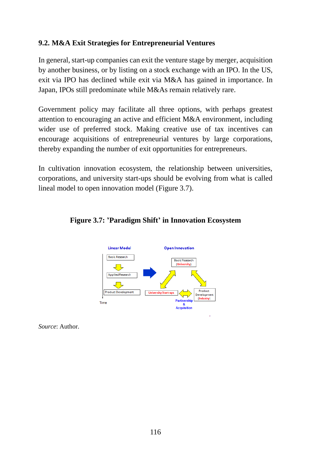#### **9.2. M&A Exit Strategies for Entrepreneurial Ventures**

In general, start-up companies can exit the venture stage by merger, acquisition by another business, or by listing on a stock exchange with an IPO. In the US, exit via IPO has declined while exit via M&A has gained in importance. In Japan, IPOs still predominate while M&As remain relatively rare.

Government policy may facilitate all three options, with perhaps greatest attention to encouraging an active and efficient M&A environment, including wider use of preferred stock. Making creative use of tax incentives can encourage acquisitions of entrepreneurial ventures by large corporations, thereby expanding the number of exit opportunities for entrepreneurs.

In cultivation innovation ecosystem, the relationship between universities, corporations, and university start-ups should be evolving from what is called lineal model to open innovation model (Figure 3.7).



#### **Figure 3.7: 'Paradigm Shift' in Innovation Ecosystem**

*Source*: Author.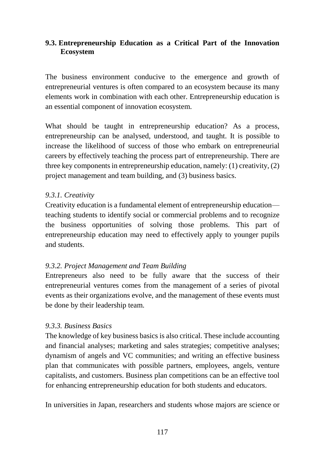#### **9.3. Entrepreneurship Education as a Critical Part of the Innovation Ecosystem**

The business environment conducive to the emergence and growth of entrepreneurial ventures is often compared to an ecosystem because its many elements work in combination with each other. Entrepreneurship education is an essential component of innovation ecosystem.

What should be taught in entrepreneurship education? As a process, entrepreneurship can be analysed, understood, and taught. It is possible to increase the likelihood of success of those who embark on entrepreneurial careers by effectively teaching the process part of entrepreneurship. There are three key components in entrepreneurship education, namely: (1) creativity, (2) project management and team building, and (3) business basics.

#### *9.3.1. Creativity*

Creativity education is a fundamental element of entrepreneurship education teaching students to identify social or commercial problems and to recognize the business opportunities of solving those problems. This part of entrepreneurship education may need to effectively apply to younger pupils and students.

#### *9.3.2. Project Management and Team Building*

Entrepreneurs also need to be fully aware that the success of their entrepreneurial ventures comes from the management of a series of pivotal events as their organizations evolve, and the management of these events must be done by their leadership team.

#### *9.3.3. Business Basics*

The knowledge of key business basics is also critical. These include accounting and financial analyses; marketing and sales strategies; competitive analyses; dynamism of angels and VC communities; and writing an effective business plan that communicates with possible partners, employees, angels, venture capitalists, and customers. Business plan competitions can be an effective tool for enhancing entrepreneurship education for both students and educators.

In universities in Japan, researchers and students whose majors are science or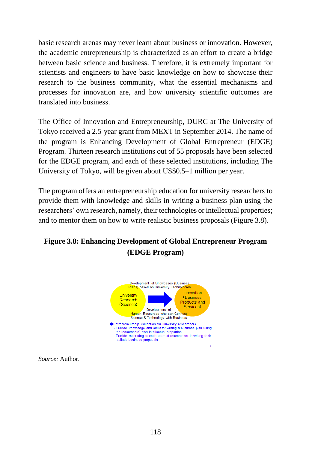basic research arenas may never learn about business or innovation. However, the academic entrepreneurship is characterized as an effort to create a bridge between basic science and business. Therefore, it is extremely important for scientists and engineers to have basic knowledge on how to showcase their research to the business community, what the essential mechanisms and processes for innovation are, and how university scientific outcomes are translated into business.

The Office of Innovation and Entrepreneurship, DURC at The University of Tokyo received a 2.5-year grant from MEXT in September 2014. The name of the program is Enhancing Development of Global Entrepreneur (EDGE) Program. Thirteen research institutions out of 55 proposals have been selected for the EDGE program, and each of these selected institutions, including The University of Tokyo, will be given about US\$0.5–1 million per year.

The program offers an entrepreneurship education for university researchers to provide them with knowledge and skills in writing a business plan using the researchers' own research, namely, their technologies or intellectual properties; and to mentor them on how to write realistic business proposals (Figure 3.8).

### **Figure 3.8: Enhancing Development of Global Entrepreneur Program (EDGE Program)**



*Source:* Author.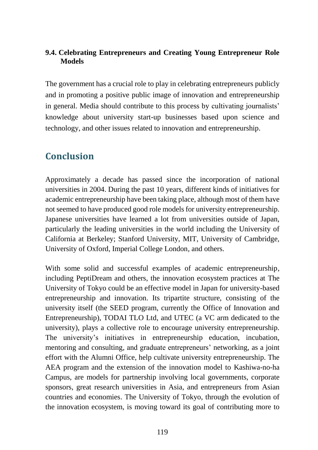#### **9.4. Celebrating Entrepreneurs and Creating Young Entrepreneur Role Models**

The government has a crucial role to play in celebrating entrepreneurs publicly and in promoting a positive public image of innovation and entrepreneurship in general. Media should contribute to this process by cultivating journalists' knowledge about university start-up businesses based upon science and technology, and other issues related to innovation and entrepreneurship.

# **Conclusion**

Approximately a decade has passed since the incorporation of national universities in 2004. During the past 10 years, different kinds of initiatives for academic entrepreneurship have been taking place, although most of them have not seemed to have produced good role models for university entrepreneurship. Japanese universities have learned a lot from universities outside of Japan, particularly the leading universities in the world including the University of California at Berkeley; Stanford University, MIT, University of Cambridge, University of Oxford, Imperial College London, and others.

With some solid and successful examples of academic entrepreneurship, including PeptiDream and others, the innovation ecosystem practices at The University of Tokyo could be an effective model in Japan for university-based entrepreneurship and innovation. Its tripartite structure, consisting of the university itself (the SEED program, currently the Office of Innovation and Entrepreneurship), TODAI TLO Ltd, and UTEC (a VC arm dedicated to the university), plays a collective role to encourage university entrepreneurship. The university's initiatives in entrepreneurship education, incubation, mentoring and consulting, and graduate entrepreneurs' networking, as a joint effort with the Alumni Office, help cultivate university entrepreneurship. The AEA program and the extension of the innovation model to Kashiwa-no-ha Campus, are models for partnership involving local governments, corporate sponsors, great research universities in Asia, and entrepreneurs from Asian countries and economies. The University of Tokyo, through the evolution of the innovation ecosystem, is moving toward its goal of contributing more to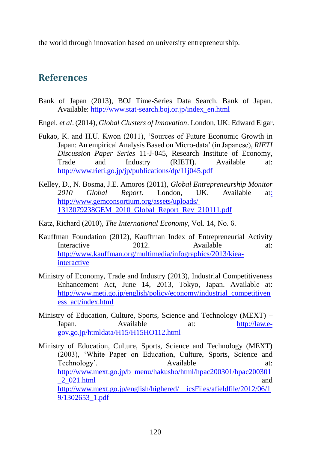the world through innovation based on university entrepreneurship.

### **References**

- Bank of Japan (2013), BOJ Time-Series Data Search. Bank of Japan. Available: [http://www.stat-search.boj.or.jp/index\\_en.html](http://www.stat-search.boj.or.jp/index_en.html)
- Engel, *et al*. (2014), *Global Clusters of Innovation*. London, UK: Edward Elgar.
- Fukao, K. and H.U. Kwon (2011), 'Sources of Future Economic Growth in Japan: An empirical Analysis Based on Micro-data' (in Japanese), *RIETI Discussion Paper Series* 11-J-045, Research Institute of Economy, Trade and Industry (RIETI). Available at: <http://www.rieti.go.jp/jp/publications/dp/11j045.pdf>
- Kelley, D., N. Bosma, J.E. Amoros (2011), *Global Entrepreneurship Monitor 2010 Global Report*. London, UK. Available at: [http://www.gemconsortium.org/assets/uploads/](http://www.gemconsortium.org/assets/uploads/%201313079238GEM_2010_Global_Report_Rev_210111.pdf)  [1313079238GEM\\_2010\\_Global\\_Report\\_Rev\\_210111.pdf](http://www.gemconsortium.org/assets/uploads/%201313079238GEM_2010_Global_Report_Rev_210111.pdf)
- Katz, Richard (2010), *The International Economy*, Vol. 14, No. 6.
- Kauffman Foundation (2012), Kauffman Index of Entrepreneurial Activity Interactive 2012. Available at: [http://www.kauffman.org/multimedia/infographics/2013/kiea](http://www.kauffman.org/multimedia/infographics/2013/kiea-interactive)[interactive](http://www.kauffman.org/multimedia/infographics/2013/kiea-interactive)
- Ministry of Economy, Trade and Industry (2013), Industrial Competitiveness Enhancement Act, June 14, 2013, Tokyo, Japan. Available at: [http://www.meti.go.jp/english/policy/economy/industrial\\_competitiven](http://www.meti.go.jp/english/policy/economy/industrial_competitiveness_act/index.html) [ess\\_act/index.html](http://www.meti.go.jp/english/policy/economy/industrial_competitiveness_act/index.html)
- Ministry of Education, Culture, Sports, Science and Technology (MEXT) Japan. Available at: [http://law.e](http://law.e-gov.go.jp/htmldata/H15/H15HO112.html)[gov.go.jp/htmldata/H15/H15HO112.html](http://law.e-gov.go.jp/htmldata/H15/H15HO112.html)

Ministry of Education, Culture, Sports, Science and Technology (MEXT) (2003), 'White Paper on Education, Culture, Sports, Science and Technology'. Available at: [http://www.mext.go.jp/b\\_menu/hakusho/html/hpac200301/hpac200301](http://www.mext.go.jp/b_menu/hakusho/html/hpac200301/hpac200301_2_021.html)  $\frac{2}{021}$ .html and [http://www.mext.go.jp/english/highered/\\_\\_icsFiles/afieldfile/2012/06/1](http://www.mext.go.jp/english/highered/__icsFiles/afieldfile/2012/06/19/1302653_1.pdf) [9/1302653\\_1.pdf](http://www.mext.go.jp/english/highered/__icsFiles/afieldfile/2012/06/19/1302653_1.pdf)